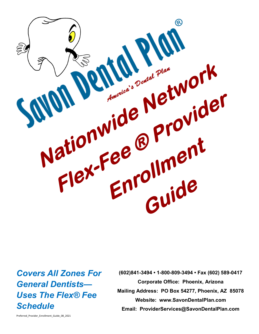

*Covers All Zones For General Dentists— Uses The Flex® Fee Schedule*

**(602)841-3494 • 1-800-809-3494 • Fax (602) 589-0417 Corporate Office: Phoenix, Arizona Mailing Address: PO Box 54277, Phoenix, AZ 85078 Website: www.SavonDentalPlan.com Email: ProviderServices@SavonDentalPlan.com**

Preferred\_Provider\_Enrollment\_Guide\_08\_2021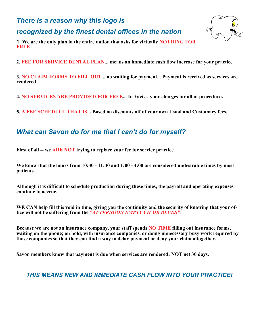## *There is a reason why this logo is*

*recognized by the finest dental offices in the nation*



**1. We are the only plan in the entire nation that asks for virtually NOTHING FOR FREE**

**2. FEE FOR SERVICE DENTAL PLAN... means an immediate cash flow increase for your practice**

**3. NO CLAIM FORMS TO FILL OUT... no waiting for payment... Payment is received as services are rendered**

**4. NO SERVICES ARE PROVIDED FOR FREE... In Fact… your charges for all of procedures**

**5. A FEE SCHEDULE THAT IS... Based on discounts off of your own Usual and Customary fees.**

## *What can Savon do for me that I can't do for myself?*

**First of all -- we ARE NOT trying to replace your fee for service practice**

**We know that the hours from 10:30 - 11:30 and 1:00 - 4:00 are considered undesirable times by most patients.**

**Although it is difficult to schedule production during these times, the payroll and operating expenses continue to accrue.**

**WE CAN help fill this void in time, giving you the continuity and the security of knowing that your office will not be suffering from the** *"AFTERNOON EMPTY CHAIR BLUES".*

**Because we are not an insurance company, your staff spends NO TIME filling out insurance forms, waiting on the phone; on hold, with insurance companies, or doing unnecessary busy work required by those companies so that they can find a way to delay payment or deny your claim altogether.** 

**Savon members know that payment is due when services are rendered; NOT net 30 days.**

*THIS MEANS NEW AND IMMEDIATE CASH FLOW INTO YOUR PRACTICE!*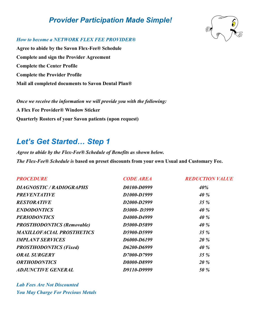## *Provider Participation Made Simple!*



#### *How to become a NETWORK FLEX FEE PROVIDER®*

**Agree to abide by the Savon Flex-Fee® Schedule Complete and sign the Provider Agreement Complete the Center Profile Complete the Provider Profile Mail all completed documents to Savon Dental Plan®**

*Once we receive the information we will provide you with the following:* **A Flex Fee Provider® Window Sticker Quarterly Rosters of your Savon patients (upon request)**

## *Let's Get Started… Step 1*

*Agree to abide by the Flex-Fee® Schedule of Benefits as shown below. The Flex-Fee® Schedule is* **based on preset discounts from your own Usual and Customary Fee.**

| <b>PROCEDURE</b>                  | <b>CODE AREA</b> | <b>REDUCTION VALUE</b> |
|-----------------------------------|------------------|------------------------|
| DIAGNOSTIC / RADIOGRAPHS          | D0100-D0999      | 40%                    |
| <b>PREVENTATIVE</b>               | D1000-D1999      | 40 %                   |
| <b>RESTORATIVE</b>                | D2000-D2999      | $35\%$                 |
| <b>ENDODONTICS</b>                | D3000-D3999      | 40 %                   |
| <b>PERIODONTICS</b>               | D4000-D4999      | 40 %                   |
| <b>PROSTHODONTICS (Removable)</b> | D5000-D5899      | 40 %                   |
| <b>MAXILLOFACIAL PROSTHETICS</b>  | D5900-D5999      | 35%                    |
| <b>IMPLANT SERVICES</b>           | D6000-D6199      | <b>20%</b>             |
| <b>PROSTHODONTICS (Fixed)</b>     | D6200-D6999      | 40 %                   |
| <b>ORAL SURGERY</b>               | D7000-D7999      | 35%                    |
| <b>ORTHODONTICS</b>               | D8000-D8999      | <b>20%</b>             |
| <b>ADJUNCTIVE GENERAL</b>         | D9110-D9999      | <b>50 %</b>            |
|                                   |                  |                        |

*Lab Fees Are Not Discounted You May Charge For Precious Metals*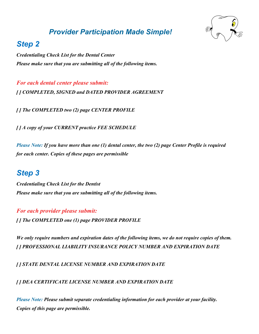## *Provider Participation Made Simple!*



## *Step 2*

*Credentialing Check List for the Dental Center Please make sure that you are submitting all of the following items.*

*For each dental center please submit: [ ] COMPLETED, SIGNED and DATED PROVIDER AGREEMENT*

*[ ] The COMPLETED two (2) page CENTER PROFILE*

*[ ] A copy of your CURRENT practice FEE SCHEDULE*

*Please Note: If you have more than one (1) dental center, the two (2) page Center Profile is required for each center. Copies of these pages are permissible*

## *Step 3*

*Credentialing Check List for the Dentist Please make sure that you are submitting all of the following items.*

## *For each provider please submit:*

*[ ] The COMPLETED one (1) page PROVIDER PROFILE*

*We only require numbers and expiration dates of the following items, we do not require copies of them. [ ] PROFESSIONAL LIABILITY INSURANCE POLICY NUMBER AND EXPIRATION DATE*

*[ ] STATE DENTAL LICENSE NUMBER AND EXPIRATION DATE*

*[ ] DEA CERTIFICATE LICENSE NUMBER AND EXPIRATION DATE*

*Please Note: Please submit separate credentialing information for each provider at your facility. Copies of this page are permissible.*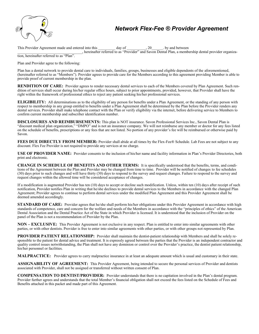

## *Network Flex-Fee ® Provider Agreement*

This Provider Agreement made and entered into this day of the set of the set of the set of the set of the set of the set of the set of the set of the set of the set of the set of the set of the set of the set of the set of \_\_\_\_\_\_\_\_\_\_\_\_\_\_\_\_\_\_\_\_\_\_\_\_\_\_\_\_\_\_\_\_\_\_, hereinafter referred to as "Provider" and Savon Dental Plan, a membership dental provider organization, hereinafter referred to as "Plan".

Plan and Provider agree to the following:

Plan has a dental network to provide dental care to individuals, families, groups, businesses and eligible dependents of the aforementioned, (hereinafter referred to as "Members"). Provider agrees to provide care for the Members according to this agreement providing Member is able to provide proof of current membership in the plan.

**RENDITION OF CARE:** Provider agrees to render necessary dental services to each of the Members covered by Plan Agreement. Such rendition of services shall occur during his/her regular office hours, subject to prior appointments, provided, however, that Provider shall have the right within the framework of professional ethics to reject any patient seeking his/her professional services.

**ELIGIBILITY:** All determinations as to the eligibility of any person for benefits under a Plan Agreement, or the standing of any person with respect to membership in any group entitled to benefits under a Plan Agreement shall be determined by the Plan before the Provider renders any dental services. Provider shall make telephone contact with the Plan or verify eligibility via the internet, before delivering service to Members to confirm current membership and subscriber identification number.

**DISCLOSURES AND REIMBURSEMENTS:** This plan is NOT insurance. Savon Professional Services Inc., Savon Dental Plan is "discount medical plan organization," "DMPO" and is not an insurance company. We will not reimburse any member or doctor for any fees listed on the schedule of benefits, prescriptions or any fees that are not listed. No portion of any provider's fee will be reimbursed or otherwise paid by Savon.

**FEES DUE DIRECTLY FROM MEMBER:** Provider shall abide at all times by the Flex-Fee® Schedule. Lab Fees are not subject to any discount. Flex Fee Provider is not required to provide any services at no charge.

**USE OF PROVIDER NAME:** Provider consents to the inclusion of his/her name and facility information in Plan's Provider Directories, both print and electronic.

**CHANGE IN SCHEDULE OF BENEFITS AND OTHER TERMS:** It is specifically understood that the benefits, terms, and conditions of the Agreement between the Plan and Provider may be changed from time to time. Provider will be notified of changes to fee schedules (30) days prior to such changes and will have thirty (30) days to respond to the survey and request changes. Failure to respond to the survey and request changes within the allowed time will be considered acceptance of changes.

If a modification is augmented Provider has ten (10) days to accept or decline such modification. Unless, within ten (10) days after receipt of such notification, Provider notifies Plan in writing that he/she declines to provide dental services to the Members in accordance with the changed Plan Agreement; Provider agrees to continue to perform dental services under the modified Plan Agreement and this Provider Agreement shall be deemed amended accordingly.

**STANDARD OF CARE:** Provider agrees that he/she shall perform his/her obligations under this Provider Agreement in accordance with high standards of competence, care and concern for the welfare and needs of the Members in accordance with the "principles of ethics" of the American Dental Association and the Dental Practice Act of the State in which Provider is licensed. It is understood that the inclusion of Provider on the panel of the Plan is not a recommendation of Provider by the Plan.

**NON – EXCLUSIVE:** This Provider Agreement is not exclusive in any respect. Plan is entitled to enter into similar agreements with other parties, or with other dentists. Provider is free to enter into similar agreements with other parties, or with other groups not represented by Plan.

**PROVIDER PATIENT RELATIONSHIP:** Provider shall maintain the dentist-patient relationship with Members and shall be solely responsible to the patient for dental advice and treatment. It is expressly agreed between the parties that the Provider is an independent contractor and quality control issues notwithstanding, the Plan shall not have any dominion or control over the Provider's practice, the dentist patient relationship, his/her personnel or facilities.

**MALPRACTICE:** Provider agrees to carry malpractice insurance in at least an adequate amount which is usual and customary in their state.

**ASSIGNABILITY OF AGREEMENT:** This Provider Agreement, being intended to secure the personal services of Provider and dentists associated with Provider, shall not be assigned or transferred without written consent of Plan.

**COMPENSATION TO DENTIST/PROVIDER:** Provider understands that there is no capitation involved in the Plan's dental program. Provider further agrees and understands that the total Member's financial obligation shall not exceed the fees listed on the Schedule of Fees and Benefits attached in this packet and made part of this Agreement.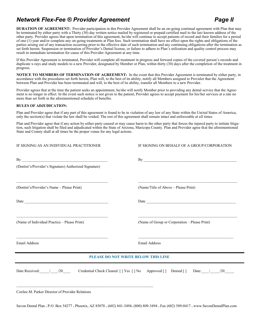## *Network Flex-Fee ® Provider Agreement* Page II

**DURATION OF AGREEMENT:** Provider participation in this Provider Agreement shall be an on-going continual agreement with Plan that may be terminated by either party with a Thirty (30) day written notice mailed by registered or prepaid certified mail to the last known address of the other party. Provider agrees that upon termination of this agreement, he/she will continue to accept patients of record and their families for a period of one (1) year and/or complete any on-going treatments at Plan fees. Such termination shall have no effect upon the rights and obligations of the parties arising out of any transaction occurring prior to the effective date of such termination and any continuing obligations after the termination as set forth herein. Suspension or termination of Provider's Dental license, or failure to adhere to Plan's utilization and quality control process may result in immediate termination for cause of this Provider Agreement at any time.

If this Provider Agreement is terminated, Provider will complete all treatment in progress and forward copies of the covered person's records and duplicate x-rays and study models to a new Provider, designated by Member or Plan, within thirty (30) days after the completion of the treatment in progress.

**NOTICE TO MEMBERS OF TERMINATION OF AGREEMENT:** In the event that this Provider Agreement is terminated by either party, in accordance with the procedures set forth herein, Plan will, to the best of its ability, notify all Members assigned to Provider that the Agreement between Plan and Provider has been terminated and will, to the best of its ability, transfer all Members to a new Provider.

Provider agrees that at the time the patient seeks an appointment, he/she will notify Member prior to providing any dental service that the Agreement is no longer in effect. In the event such notice is not given to the patient, Provider agrees to accept payment for his/her services at a rate no more than set forth in the aforementioned schedule of benefits.

#### **RULES OF ADJUDICATION:**

Plan and Provider agree that if any part of this agreement is found to be in violation of any law of any State within the United States of America, only the section(s) that violate the law shall be voided. The rest of this agreement shall remain intact and enforceable at all times.

Plan and Provider agree that if any action by either party caused or may cause harm to the other party that forces the injured party to initiate litigation, such litigation shall be filed and adjudicated within the State of Arizona, Maricopa County. Plan and Provider agree that the aforementioned State and County shall at all times be the proper venue for any legal actions.

| IF SIGNING AS AN INDIVIDUAL PRACTITIONER                                                                                                                           | IF SIGNING ON BEHALF OF A GROUP/CORPORATION                                                        |  |  |  |  |  |
|--------------------------------------------------------------------------------------------------------------------------------------------------------------------|----------------------------------------------------------------------------------------------------|--|--|--|--|--|
| (Dentist's/Provider's Signature) Authorized Signature)                                                                                                             |                                                                                                    |  |  |  |  |  |
| <u> 1989 - Jan James James James James James James James James James James James James James James James James J</u><br>(Dentist's/Provider's Name – Please Print) | (Name/Title of Above - Please Print)                                                               |  |  |  |  |  |
|                                                                                                                                                                    |                                                                                                    |  |  |  |  |  |
| (Name of Individual Practice - Please Print)                                                                                                                       | (Name of Group or Corporation - Please Print)                                                      |  |  |  |  |  |
| Email Address                                                                                                                                                      | <b>Email Address</b>                                                                               |  |  |  |  |  |
|                                                                                                                                                                    | <u> 1989 - Johann Stoff, amerikansk politiker (d. 1989)</u><br>PLEASE DO NOT WRITE BELOW THIS LINE |  |  |  |  |  |
|                                                                                                                                                                    | Date Received: / / 20 Credential Check Cleared [] Yes [] No Approved [] Denied [] Date: / / / 20   |  |  |  |  |  |
| Corilee M. Parker Director of Provider Relations                                                                                                                   |                                                                                                    |  |  |  |  |  |

Savon Dental Plan **.** P.O. Box 54277 **.** Phoenix, AZ 85078 **.** (602) 841-3494**.** (800) 809-3494 **.** Fax (602) 589-0417 **.** www.SavonDentalPlan.com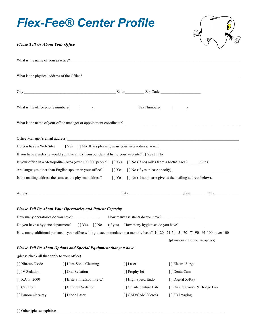# *Flex-Fee® Center Profile*



### *Please Tell Us About Your Office*

|                                              | What is the name of your practice?                                |                                                                                                                       |                                                                                                                                |
|----------------------------------------------|-------------------------------------------------------------------|-----------------------------------------------------------------------------------------------------------------------|--------------------------------------------------------------------------------------------------------------------------------|
|                                              |                                                                   |                                                                                                                       |                                                                                                                                |
|                                              |                                                                   |                                                                                                                       |                                                                                                                                |
|                                              |                                                                   |                                                                                                                       |                                                                                                                                |
|                                              | What is the office phone number? $($ $)$ $-$                      |                                                                                                                       | $\text{Fax Number?}(\_\_\_\_\_\_\_\_\_\$                                                                                       |
|                                              |                                                                   |                                                                                                                       | What is the name of your office manager or appointment coordinator?                                                            |
|                                              |                                                                   |                                                                                                                       |                                                                                                                                |
| Do you have a Web Site?                      |                                                                   |                                                                                                                       | [] Yes [] No If yes please give us your web address: www.                                                                      |
|                                              |                                                                   | If you have a web site would you like a link from our dentist list to your web site? [ ] Yes [ ] No                   |                                                                                                                                |
|                                              |                                                                   | Is your office in a Metropolitan Area (over 100,000 people) [] Yes [] No (If no) miles from a Metro Area? _____ miles |                                                                                                                                |
|                                              | Are languages other than English spoken in your office?           |                                                                                                                       |                                                                                                                                |
|                                              | Is the mailing address the same as the physical address?          |                                                                                                                       | [] Yes [] No (If no, please give us the mailing address below).                                                                |
|                                              |                                                                   |                                                                                                                       |                                                                                                                                |
|                                              |                                                                   |                                                                                                                       | Adress: <u>Zip: Zip:</u>                                                                                                       |
|                                              | <b>Please Tell Us About Your Operatories and Patient Capacity</b> |                                                                                                                       |                                                                                                                                |
|                                              |                                                                   | How many operatories do you have?<br>How many assistants do you have?<br>How many assistants do you have?             |                                                                                                                                |
|                                              |                                                                   |                                                                                                                       |                                                                                                                                |
|                                              |                                                                   |                                                                                                                       |                                                                                                                                |
|                                              |                                                                   | Do you have a hygiene department? [] Yes [] No (if yes) How many hygienists do you have?                              | How many additional patients is your office willing to accommodate on a monthly basis? 10-20 21-50 51-70 71-90 91-100 over 100 |
|                                              |                                                                   |                                                                                                                       | (please circle the one that applies)                                                                                           |
|                                              | Please Tell Us About Options and Special Equipment that you have  |                                                                                                                       |                                                                                                                                |
| (please check all that apply to your office) |                                                                   |                                                                                                                       |                                                                                                                                |
| [] Nitrous Oxide                             | [] Ultra Sonic Cleaning                                           | [] Laser                                                                                                              | [] Electro Surge                                                                                                               |
| [] IV Sedation                               | [] Oral Sedation                                                  | [ ] Prophy Jet                                                                                                        | [] Denta Cam                                                                                                                   |
| $[$ ] K.C.P. 2000                            | [] Brite Smile/Zoom (etc.)                                        | [ ] High Speed Endo                                                                                                   | [ ] Digital X-Ray                                                                                                              |
| [] Cavitron                                  | [] Children Sedation                                              | [] On site denture Lab                                                                                                | [] On site Crown & Bridge Lab                                                                                                  |

[ ] Other (please explain):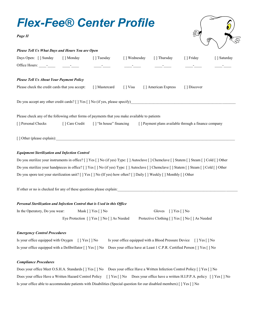

#### *Equipment Sterilization and Infection Control*

Do you sterilize your instruments in office? [ ] Yes [ ] No (if yes) Type: [ ] Autoclave [ ] Chemclave [ ] Statem [ ] Steam [ ] Cold [ ] Other Do you sterilize your handpieces in office? [ ] Yes [ ] No (if yes) Type: [ ] Autoclave [ ] Chemclave [ ] Statem [ ] Steam [ ] Cold [ ] Other Do you spore test your sterilization unit?  $[ \ ]$  Yes  $[ \ ]$  No (If yes) how often?  $[ \ ]$  Daily  $[ \ ]$  Weekly  $[ \ ]$  Monthly  $[ \ ]$  Other

If other or no is checked for any of these questions please explain:

#### *Personal Sterilization and Infection Control that is Used in this Office*

| In the Operatory, Do you wear: | Mask $\lceil \cdot \rceil$ Yes $\lceil \cdot \rceil$ No | Gloves $[$   Yes $[$   No                        |
|--------------------------------|---------------------------------------------------------|--------------------------------------------------|
|                                | Eye Protection [] Yes [] No [] As Needed                | Protective Clothing [ ] Yes [ ] No [ ] As Needed |

#### *Emergency Control Procedures*

| Is your office equipped with Oxygen [] Yes [] No | Is your office equipped with a Blood Pressure Device [] Yes [] No                                                                   |  |
|--------------------------------------------------|-------------------------------------------------------------------------------------------------------------------------------------|--|
|                                                  | Is your office equipped with a Defibrillator [ ] Yes [ ] No Does your office have at Least 1 C.P.R. Certified Person [ ] Yes [ ] No |  |

#### *Compliance Procedures*

|                                                                                                                        | Does your office Meet O.S.H.A. Standards [ ] Yes [ ] No Does your office Have a Written Infection Control Policy [ ] Yes [ ] No   |
|------------------------------------------------------------------------------------------------------------------------|-----------------------------------------------------------------------------------------------------------------------------------|
|                                                                                                                        | Does your office Have a Written Hazard Control Policy [] Yes [] No Does your office have a written H.I.P.P.A. policy [] Yes [] No |
| Is your office able to accommodate patients with Disabilities (Special question for our disabled members) [] Yes [] No |                                                                                                                                   |